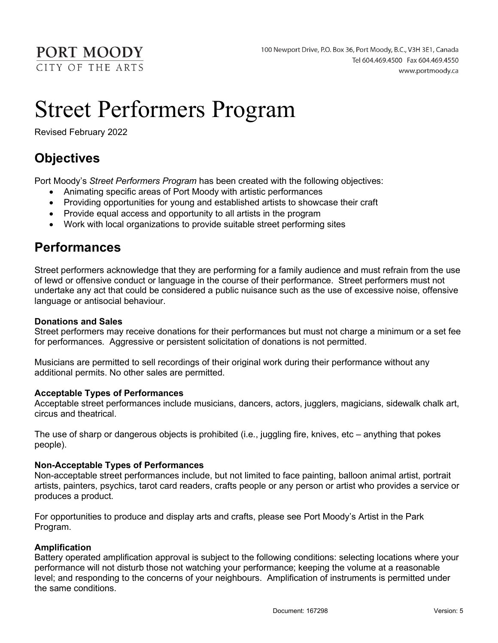PORT MOODY CITY OF THE ARTS

# Street Performers Program

Revised February 2022

# **Objectives**

Port Moody's Street Performers Program has been created with the following objectives:

- Animating specific areas of Port Moody with artistic performances
- Providing opportunities for young and established artists to showcase their craft
- Provide equal access and opportunity to all artists in the program
- Work with local organizations to provide suitable street performing sites

### Performances

Street performers acknowledge that they are performing for a family audience and must refrain from the use of lewd or offensive conduct or language in the course of their performance. Street performers must not undertake any act that could be considered a public nuisance such as the use of excessive noise, offensive language or antisocial behaviour.

#### Donations and Sales

Street performers may receive donations for their performances but must not charge a minimum or a set fee for performances. Aggressive or persistent solicitation of donations is not permitted.

Musicians are permitted to sell recordings of their original work during their performance without any additional permits. No other sales are permitted.

#### Acceptable Types of Performances

Acceptable street performances include musicians, dancers, actors, jugglers, magicians, sidewalk chalk art, circus and theatrical.

The use of sharp or dangerous objects is prohibited (i.e., juggling fire, knives, etc – anything that pokes people).

#### Non-Acceptable Types of Performances

Non-acceptable street performances include, but not limited to face painting, balloon animal artist, portrait artists, painters, psychics, tarot card readers, crafts people or any person or artist who provides a service or produces a product.

For opportunities to produce and display arts and crafts, please see Port Moody's Artist in the Park Program.

#### Amplification

Battery operated amplification approval is subject to the following conditions: selecting locations where your performance will not disturb those not watching your performance; keeping the volume at a reasonable level; and responding to the concerns of your neighbours. Amplification of instruments is permitted under the same conditions.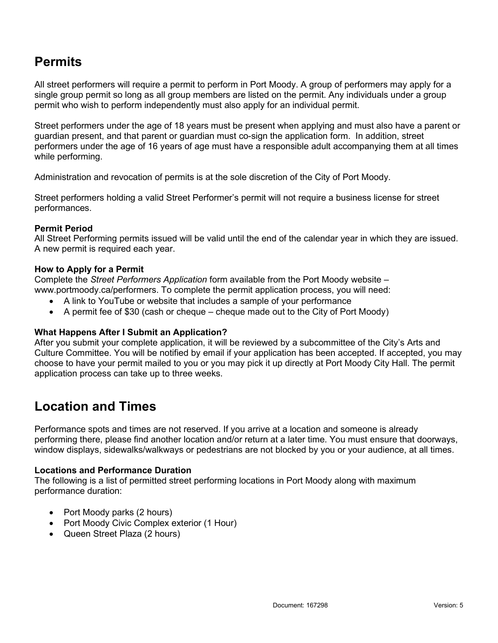# **Permits**

All street performers will require a permit to perform in Port Moody. A group of performers may apply for a single group permit so long as all group members are listed on the permit. Any individuals under a group permit who wish to perform independently must also apply for an individual permit.

Street performers under the age of 18 years must be present when applying and must also have a parent or guardian present, and that parent or guardian must co-sign the application form. In addition, street performers under the age of 16 years of age must have a responsible adult accompanying them at all times while performing.

Administration and revocation of permits is at the sole discretion of the City of Port Moody.

Street performers holding a valid Street Performer's permit will not require a business license for street performances.

#### Permit Period

All Street Performing permits issued will be valid until the end of the calendar year in which they are issued. A new permit is required each year.

#### How to Apply for a Permit

Complete the Street Performers Application form available from the Port Moody website – www.portmoody.ca/performers. To complete the permit application process, you will need:

- A link to YouTube or website that includes a sample of your performance
- A permit fee of \$30 (cash or cheque cheque made out to the City of Port Moody)

#### What Happens After I Submit an Application?

After you submit your complete application, it will be reviewed by a subcommittee of the City's Arts and Culture Committee. You will be notified by email if your application has been accepted. If accepted, you may choose to have your permit mailed to you or you may pick it up directly at Port Moody City Hall. The permit application process can take up to three weeks.

### Location and Times

Performance spots and times are not reserved. If you arrive at a location and someone is already performing there, please find another location and/or return at a later time. You must ensure that doorways, window displays, sidewalks/walkways or pedestrians are not blocked by you or your audience, at all times.

#### Locations and Performance Duration

The following is a list of permitted street performing locations in Port Moody along with maximum performance duration:

- Port Moody parks (2 hours)
- Port Moody Civic Complex exterior (1 Hour)
- Queen Street Plaza (2 hours)